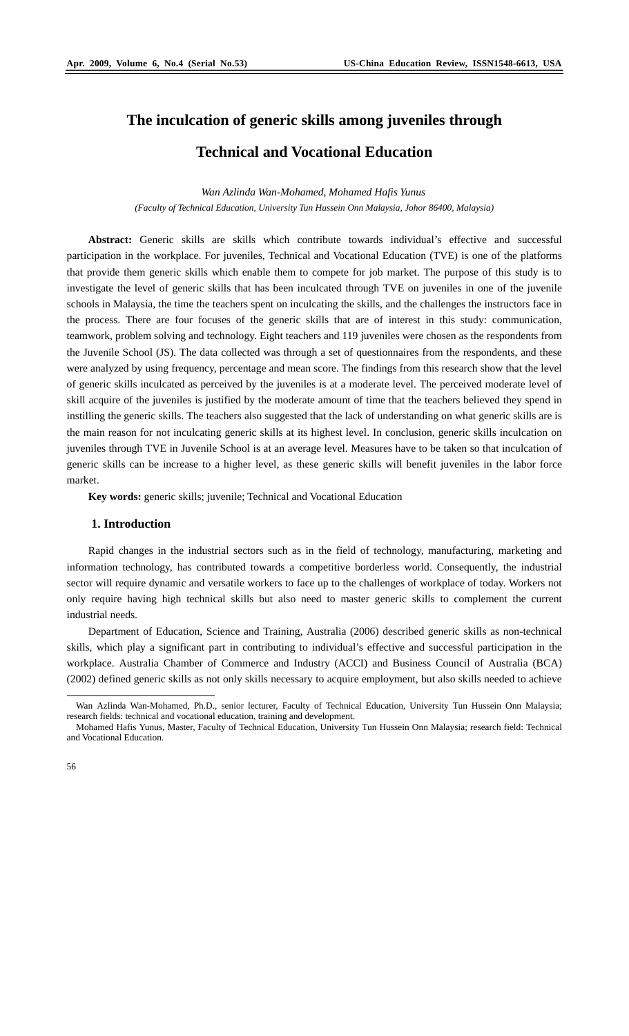# **The inculcation of generic skills among juveniles through**

## **Technical and Vocational Education**

*Wan Azlinda Wan-Mohamed, Mohamed Hafis Yunus (Faculty of Technical Education, University Tun Hussein Onn Malaysia, Johor 86400, Malaysia)* 

**Abstract:** Generic skills are skills which contribute towards individual's effective and successful participation in the workplace. For juveniles, Technical and Vocational Education (TVE) is one of the platforms that provide them generic skills which enable them to compete for job market. The purpose of this study is to investigate the level of generic skills that has been inculcated through TVE on juveniles in one of the juvenile schools in Malaysia, the time the teachers spent on inculcating the skills, and the challenges the instructors face in the process. There are four focuses of the generic skills that are of interest in this study: communication, teamwork, problem solving and technology. Eight teachers and 119 juveniles were chosen as the respondents from the Juvenile School (JS). The data collected was through a set of questionnaires from the respondents, and these were analyzed by using frequency, percentage and mean score. The findings from this research show that the level of generic skills inculcated as perceived by the juveniles is at a moderate level. The perceived moderate level of skill acquire of the juveniles is justified by the moderate amount of time that the teachers believed they spend in instilling the generic skills. The teachers also suggested that the lack of understanding on what generic skills are is the main reason for not inculcating generic skills at its highest level. In conclusion, generic skills inculcation on juveniles through TVE in Juvenile School is at an average level. Measures have to be taken so that inculcation of generic skills can be increase to a higher level, as these generic skills will benefit juveniles in the labor force market.

**Key words:** generic skills; juvenile; Technical and Vocational Education

### **1. Introduction**

Rapid changes in the industrial sectors such as in the field of technology, manufacturing, marketing and information technology, has contributed towards a competitive borderless world. Consequently, the industrial sector will require dynamic and versatile workers to face up to the challenges of workplace of today. Workers not only require having high technical skills but also need to master generic skills to complement the current industrial needs.

Department of Education, Science and Training, Australia (2006) described generic skills as non-technical skills, which play a significant part in contributing to individual's effective and successful participation in the workplace. Australia Chamber of Commerce and Industry (ACCI) and Business Council of Australia (BCA) (2002) defined generic skills as not only skills necessary to acquire employment, but also skills needed to achieve

 $\overline{a}$ 

Wan Azlinda Wan-Mohamed, Ph.D., senior lecturer, Faculty of Technical Education, University Tun Hussein Onn Malaysia; research fields: technical and vocational education, training and development.

Mohamed Hafis Yunus, Master, Faculty of Technical Education, University Tun Hussein Onn Malaysia; research field: Technical and Vocational Education.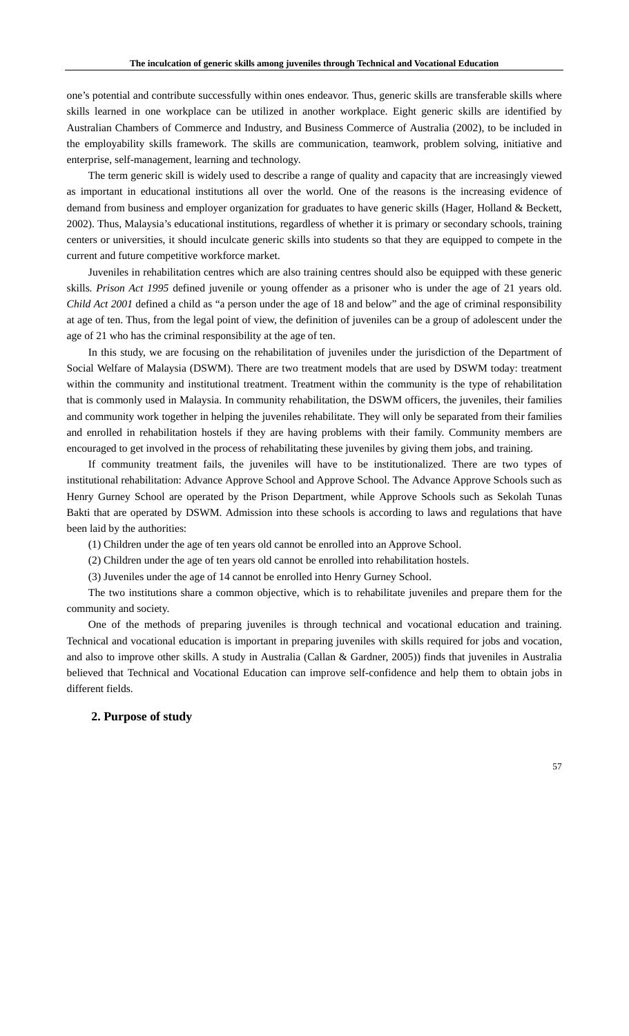one's potential and contribute successfully within ones endeavor. Thus, generic skills are transferable skills where skills learned in one workplace can be utilized in another workplace. Eight generic skills are identified by Australian Chambers of Commerce and Industry, and Business Commerce of Australia (2002), to be included in the employability skills framework. The skills are communication, teamwork, problem solving, initiative and enterprise, self-management, learning and technology.

The term generic skill is widely used to describe a range of quality and capacity that are increasingly viewed as important in educational institutions all over the world. One of the reasons is the increasing evidence of demand from business and employer organization for graduates to have generic skills (Hager, Holland & Beckett, 2002). Thus, Malaysia's educational institutions, regardless of whether it is primary or secondary schools, training centers or universities, it should inculcate generic skills into students so that they are equipped to compete in the current and future competitive workforce market.

Juveniles in rehabilitation centres which are also training centres should also be equipped with these generic skills. *Prison Act 1995* defined juvenile or young offender as a prisoner who is under the age of 21 years old. *Child Act 2001* defined a child as "a person under the age of 18 and below" and the age of criminal responsibility at age of ten. Thus, from the legal point of view, the definition of juveniles can be a group of adolescent under the age of 21 who has the criminal responsibility at the age of ten.

In this study, we are focusing on the rehabilitation of juveniles under the jurisdiction of the Department of Social Welfare of Malaysia (DSWM). There are two treatment models that are used by DSWM today: treatment within the community and institutional treatment. Treatment within the community is the type of rehabilitation that is commonly used in Malaysia. In community rehabilitation, the DSWM officers, the juveniles, their families and community work together in helping the juveniles rehabilitate. They will only be separated from their families and enrolled in rehabilitation hostels if they are having problems with their family. Community members are encouraged to get involved in the process of rehabilitating these juveniles by giving them jobs, and training.

If community treatment fails, the juveniles will have to be institutionalized. There are two types of institutional rehabilitation: Advance Approve School and Approve School. The Advance Approve Schools such as Henry Gurney School are operated by the Prison Department, while Approve Schools such as Sekolah Tunas Bakti that are operated by DSWM. Admission into these schools is according to laws and regulations that have been laid by the authorities:

(1) Children under the age of ten years old cannot be enrolled into an Approve School.

(2) Children under the age of ten years old cannot be enrolled into rehabilitation hostels.

(3) Juveniles under the age of 14 cannot be enrolled into Henry Gurney School.

The two institutions share a common objective, which is to rehabilitate juveniles and prepare them for the community and society.

One of the methods of preparing juveniles is through technical and vocational education and training. Technical and vocational education is important in preparing juveniles with skills required for jobs and vocation, and also to improve other skills. A study in Australia (Callan & Gardner, 2005)) finds that juveniles in Australia believed that Technical and Vocational Education can improve self-confidence and help them to obtain jobs in different fields.

#### **2. Purpose of study**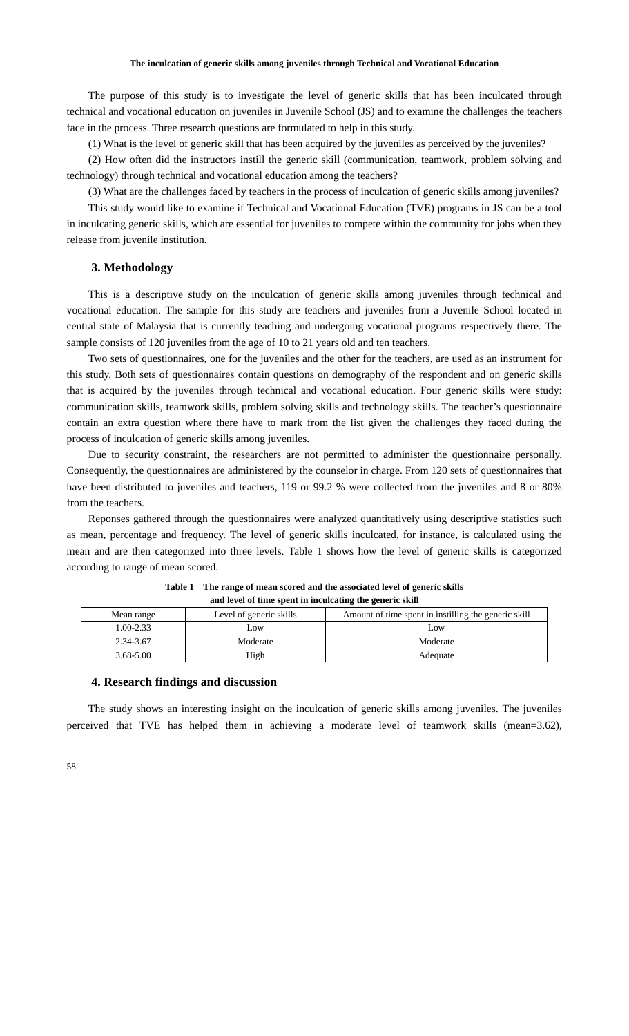The purpose of this study is to investigate the level of generic skills that has been inculcated through technical and vocational education on juveniles in Juvenile School (JS) and to examine the challenges the teachers face in the process. Three research questions are formulated to help in this study.

(1) What is the level of generic skill that has been acquired by the juveniles as perceived by the juveniles?

(2) How often did the instructors instill the generic skill (communication, teamwork, problem solving and technology) through technical and vocational education among the teachers?

(3) What are the challenges faced by teachers in the process of inculcation of generic skills among juveniles?

This study would like to examine if Technical and Vocational Education (TVE) programs in JS can be a tool in inculcating generic skills, which are essential for juveniles to compete within the community for jobs when they release from juvenile institution.

#### **3. Methodology**

This is a descriptive study on the inculcation of generic skills among juveniles through technical and vocational education. The sample for this study are teachers and juveniles from a Juvenile School located in central state of Malaysia that is currently teaching and undergoing vocational programs respectively there. The sample consists of 120 juveniles from the age of 10 to 21 years old and ten teachers.

Two sets of questionnaires, one for the juveniles and the other for the teachers, are used as an instrument for this study. Both sets of questionnaires contain questions on demography of the respondent and on generic skills that is acquired by the juveniles through technical and vocational education. Four generic skills were study: communication skills, teamwork skills, problem solving skills and technology skills. The teacher's questionnaire contain an extra question where there have to mark from the list given the challenges they faced during the process of inculcation of generic skills among juveniles.

Due to security constraint, the researchers are not permitted to administer the questionnaire personally. Consequently, the questionnaires are administered by the counselor in charge. From 120 sets of questionnaires that have been distributed to juveniles and teachers, 119 or 99.2 % were collected from the juveniles and 8 or 80% from the teachers.

Reponses gathered through the questionnaires were analyzed quantitatively using descriptive statistics such as mean, percentage and frequency. The level of generic skills inculcated, for instance, is calculated using the mean and are then categorized into three levels. Table 1 shows how the level of generic skills is categorized according to range of mean scored.

| Mean range    | Level of generic skills | Amount of time spent in instilling the generic skill |
|---------------|-------------------------|------------------------------------------------------|
| 1.00-2.33     | Low.                    | Low                                                  |
| 2.34-3.67     | Moderate                | Moderate                                             |
| $3.68 - 5.00$ | High                    | Adequate                                             |

**Table 1 The range of mean scored and the associated level of generic skills and level of time spent in inculcating the generic skill** 

#### **4. Research findings and discussion**

The study shows an interesting insight on the inculcation of generic skills among juveniles. The juveniles perceived that TVE has helped them in achieving a moderate level of teamwork skills (mean=3.62),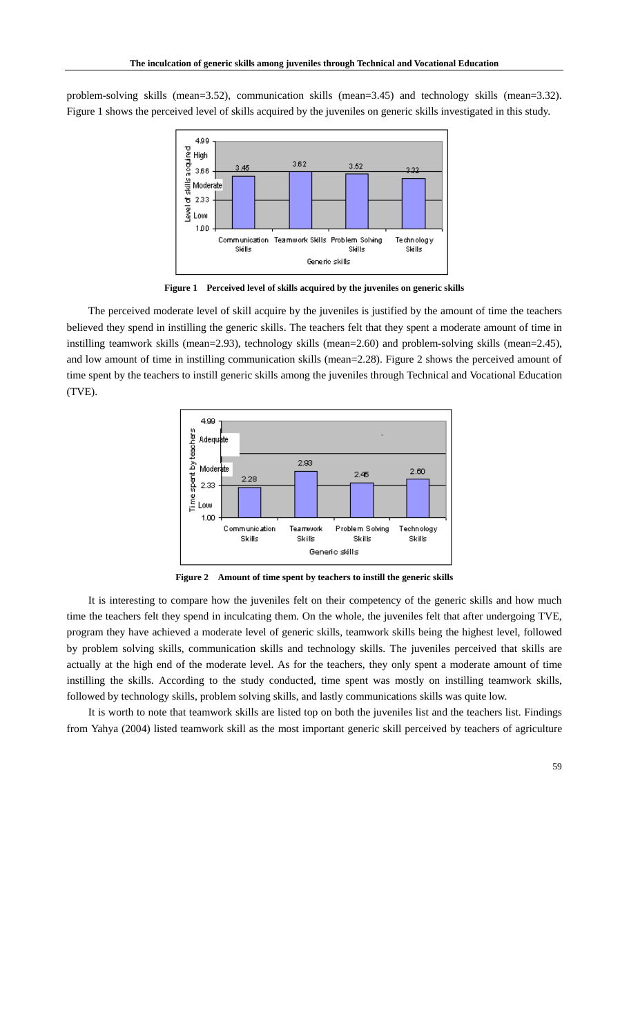problem-solving skills (mean=3.52), communication skills (mean=3.45) and technology skills (mean=3.32). Figure 1 shows the perceived level of skills acquired by the juveniles on generic skills investigated in this study.



**Figure 1 Perceived level of skills acquired by the juveniles on generic skills** 

The perceived moderate level of skill acquire by the juveniles is justified by the amount of time the teachers believed they spend in instilling the generic skills. The teachers felt that they spent a moderate amount of time in instilling teamwork skills (mean=2.93), technology skills (mean=2.60) and problem-solving skills (mean=2.45), and low amount of time in instilling communication skills (mean=2.28). Figure 2 shows the perceived amount of time spent by the teachers to instill generic skills among the juveniles through Technical and Vocational Education (TVE).



**Figure 2 Amount of time spent by teachers to instill the generic skills** 

It is interesting to compare how the juveniles felt on their competency of the generic skills and how much time the teachers felt they spend in inculcating them. On the whole, the juveniles felt that after undergoing TVE, program they have achieved a moderate level of generic skills, teamwork skills being the highest level, followed by problem solving skills, communication skills and technology skills. The juveniles perceived that skills are actually at the high end of the moderate level. As for the teachers, they only spent a moderate amount of time instilling the skills. According to the study conducted, time spent was mostly on instilling teamwork skills, followed by technology skills, problem solving skills, and lastly communications skills was quite low.

It is worth to note that teamwork skills are listed top on both the juveniles list and the teachers list. Findings from Yahya (2004) listed teamwork skill as the most important generic skill perceived by teachers of agriculture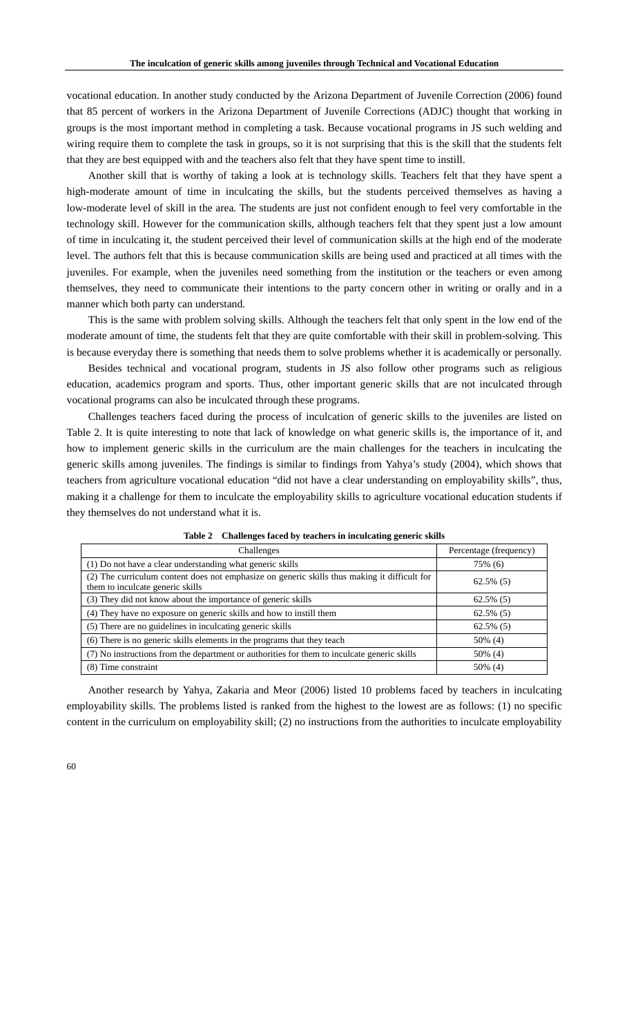vocational education. In another study conducted by the Arizona Department of Juvenile Correction (2006) found that 85 percent of workers in the Arizona Department of Juvenile Corrections (ADJC) thought that working in groups is the most important method in completing a task. Because vocational programs in JS such welding and wiring require them to complete the task in groups, so it is not surprising that this is the skill that the students felt that they are best equipped with and the teachers also felt that they have spent time to instill.

Another skill that is worthy of taking a look at is technology skills. Teachers felt that they have spent a high-moderate amount of time in inculcating the skills, but the students perceived themselves as having a low-moderate level of skill in the area. The students are just not confident enough to feel very comfortable in the technology skill. However for the communication skills, although teachers felt that they spent just a low amount of time in inculcating it, the student perceived their level of communication skills at the high end of the moderate level. The authors felt that this is because communication skills are being used and practiced at all times with the juveniles. For example, when the juveniles need something from the institution or the teachers or even among themselves, they need to communicate their intentions to the party concern other in writing or orally and in a manner which both party can understand.

This is the same with problem solving skills. Although the teachers felt that only spent in the low end of the moderate amount of time, the students felt that they are quite comfortable with their skill in problem-solving. This is because everyday there is something that needs them to solve problems whether it is academically or personally.

Besides technical and vocational program, students in JS also follow other programs such as religious education, academics program and sports. Thus, other important generic skills that are not inculcated through vocational programs can also be inculcated through these programs.

Challenges teachers faced during the process of inculcation of generic skills to the juveniles are listed on Table 2. It is quite interesting to note that lack of knowledge on what generic skills is, the importance of it, and how to implement generic skills in the curriculum are the main challenges for the teachers in inculcating the generic skills among juveniles. The findings is similar to findings from Yahya's study (2004), which shows that teachers from agriculture vocational education "did not have a clear understanding on employability skills", thus, making it a challenge for them to inculcate the employability skills to agriculture vocational education students if they themselves do not understand what it is.

| Challenges                                                                                                                       | Percentage (frequency) |
|----------------------------------------------------------------------------------------------------------------------------------|------------------------|
| (1) Do not have a clear understanding what generic skills                                                                        | 75% (6)                |
| (2) The curriculum content does not emphasize on generic skills thus making it difficult for<br>them to inculcate generic skills | $62.5\%$ (5)           |
| (3) They did not know about the importance of generic skills                                                                     | $62.5\%$ (5)           |
| (4) They have no exposure on generic skills and how to instill them                                                              | $62.5\%$ (5)           |
| (5) There are no guidelines in inculcating generic skills                                                                        | $62.5\%$ (5)           |
| (6) There is no generic skills elements in the programs that they teach                                                          | 50% (4)                |
| (7) No instructions from the department or authorities for them to inculcate generic skills                                      | 50% (4)                |
| (8) Time constraint                                                                                                              | 50% (4)                |

**Table 2 Challenges faced by teachers in inculcating generic skills** 

Another research by Yahya, Zakaria and Meor (2006) listed 10 problems faced by teachers in inculcating employability skills. The problems listed is ranked from the highest to the lowest are as follows: (1) no specific content in the curriculum on employability skill; (2) no instructions from the authorities to inculcate employability